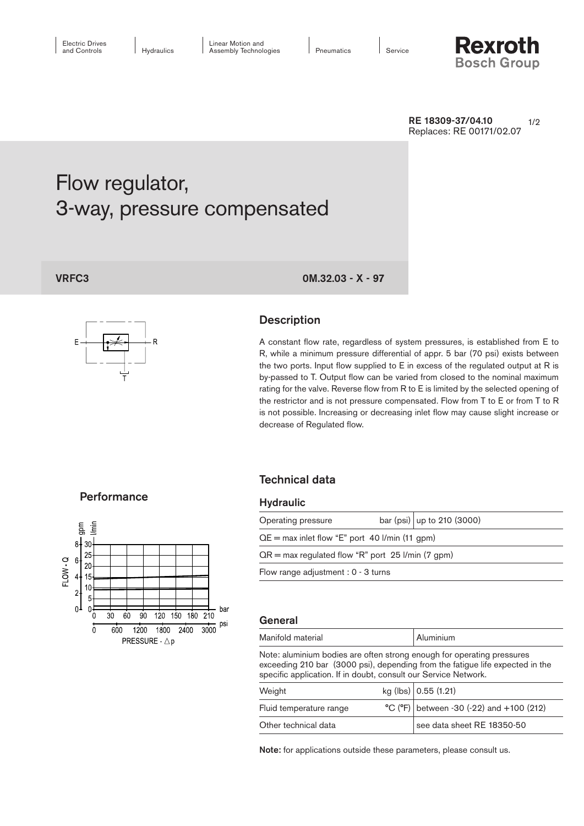

 $1/2$ RE 18309-37/04.10 Replaces: RE 00171/02.07

# Flow regulator, 3-way, pressure compensated



# VRFC3 0M.32.03 - X - 97

# **Description**

A constant flow rate, regardless of system pressures, is established from E to R, while a minimum pressure differential of appr. 5 bar (70 psi) exists between the two ports. Input flow supplied to E in excess of the regulated output at R is by-passed to T. Output flow can be varied from closed to the nominal maximum rating for the valve. Reverse flow from R to E is limited by the selected opening of the restrictor and is not pressure compensated. Flow from T to E or from T to R is not possible. Increasing or decreasing inlet flow may cause slight increase or decrease of Regulated flow.

### **Performance**



# Technical data

#### **Hydraulic**

| Operating pressure                                  |  | bar (psi)   up to 210 (3000) |
|-----------------------------------------------------|--|------------------------------|
| $QE = max$ inlet flow "E" port 40 l/min (11 gpm)    |  |                              |
| $QR = max$ regulated flow "R" port 25 l/min (7 gpm) |  |                              |
| Flow range adjustment : $0 - 3$ turns               |  |                              |
|                                                     |  |                              |

#### General

| Manifold material                                                                                                                                       | Aluminium |  |  |  |
|---------------------------------------------------------------------------------------------------------------------------------------------------------|-----------|--|--|--|
| Note: aluminium bodies are often strong enough for operating pressures<br>exceeding 210 bar (3000 psi), depending from the fatigue life expected in the |           |  |  |  |
| specific application. If in doubt, consult our Service Network.                                                                                         |           |  |  |  |

| the state of the state of the state of the state of the state of the state of the state of the state of the state of the state of the state of the state of the state of the state of the state of the state of the state of t |  |                                            |
|--------------------------------------------------------------------------------------------------------------------------------------------------------------------------------------------------------------------------------|--|--------------------------------------------|
| Weight                                                                                                                                                                                                                         |  | kg (lbs) $\vert$ 0.55 (1.21)               |
| Fluid temperature range                                                                                                                                                                                                        |  | $°C$ (°F) between -30 (-22) and +100 (212) |
| Other technical data                                                                                                                                                                                                           |  | see data sheet RE 18350-50                 |

Note: for applications outside these parameters, please consult us.